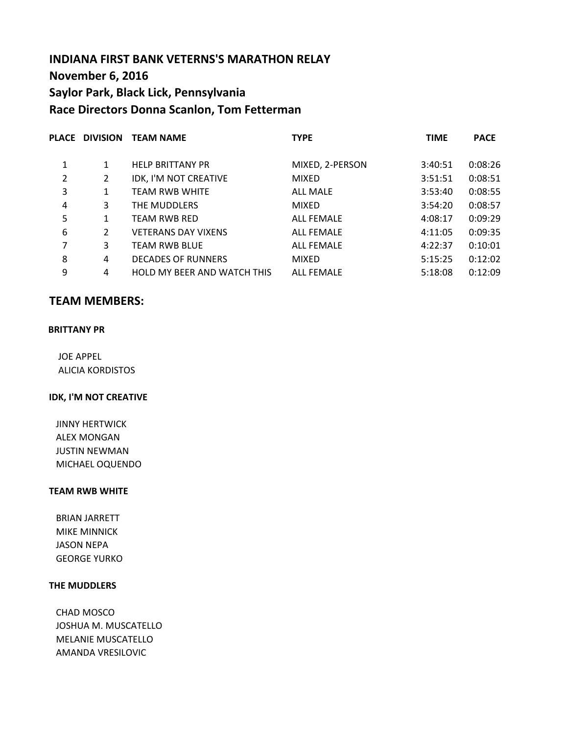# **INDIANA FIRST BANK VETERNS'S MARATHON RELAY November 6, 2016 Saylor Park, Black Lick, Pennsylvania Race Directors Donna Scanlon, Tom Fetterman**

|   |                | PLACE DIVISION TEAM NAME           | <b>TYPE</b>       | <b>TIME</b> | <b>PACE</b> |
|---|----------------|------------------------------------|-------------------|-------------|-------------|
| 1 | 1              | <b>HELP BRITTANY PR</b>            | MIXED, 2-PERSON   | 3:40:51     | 0:08:26     |
| 2 | $\overline{2}$ | IDK, I'M NOT CREATIVE              | <b>MIXED</b>      | 3:51:51     | 0:08:51     |
| 3 | 1              | <b>TEAM RWB WHITE</b>              | <b>ALL MALE</b>   | 3:53:40     | 0:08:55     |
| 4 | 3              | THE MUDDLERS                       | <b>MIXED</b>      | 3:54:20     | 0:08:57     |
| 5 | 1              | <b>TEAM RWB RED</b>                | <b>ALL FEMALE</b> | 4:08:17     | 0:09:29     |
| 6 | $\mathcal{P}$  | <b>VETERANS DAY VIXENS</b>         | <b>ALL FEMALE</b> | 4:11:05     | 0:09:35     |
| 7 | 3              | <b>TEAM RWB BLUE</b>               | <b>ALL FEMALE</b> | 4:22:37     | 0:10:01     |
| 8 | 4              | <b>DECADES OF RUNNERS</b>          | <b>MIXED</b>      | 5:15:25     | 0:12:02     |
| 9 | 4              | <b>HOLD MY BEER AND WATCH THIS</b> | <b>ALL FEMALE</b> | 5:18:08     | 0:12:09     |
|   |                |                                    |                   |             |             |

## **TEAM MEMBERS:**

#### **BRITTANY PR**

 JOE APPEL ALICIA KORDISTOS

## **IDK, I'M NOT CREATIVE**

 JINNY HERTWICK ALEX MONGAN JUSTIN NEWMAN MICHAEL OQUENDO

## **TEAM RWB WHITE**

 BRIAN JARRETT MIKE MINNICK JASON NEPA GEORGE YURKO

### **THE MUDDLERS**

 JOSHUA M. MUSCATELLO MELANIE MUSCATELLO AMANDA VRESILOVIC CHAD MOSCO